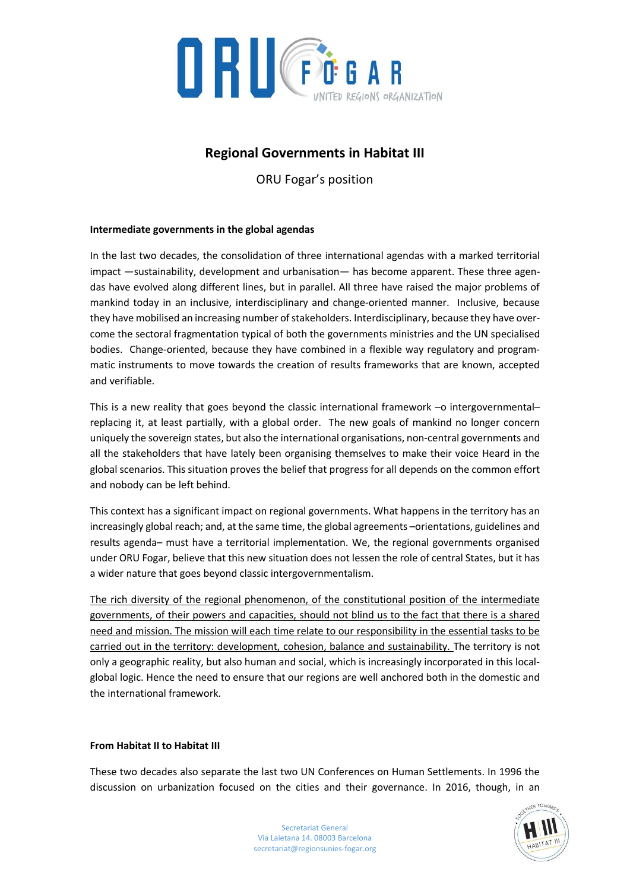

# **Regional Governments in Habitat III**

ORU Fogar's position

## **Intermediate governments in the global agendas**

In the last two decades, the consolidation of three international agendas with a marked territorial impact ―sustainability, development and urbanisation― has become apparent. These three agendas have evolved along different lines, but in parallel. All three have raised the major problems of mankind today in an inclusive, interdisciplinary and change-oriented manner. Inclusive, because they have mobilised an increasing number of stakeholders. Interdisciplinary, because they have overcome the sectoral fragmentation typical of both the governments ministries and the UN specialised bodies. Change-oriented, because they have combined in a flexible way regulatory and programmatic instruments to move towards the creation of results frameworks that are known, accepted and verifiable.

This is a new reality that goes beyond the classic international framework -o intergovernmentalreplacing it, at least partially, with a global order. The new goals of mankind no longer concern uniquely the sovereign states, but also the international organisations, non-central governments and all the stakeholders that have lately been organising themselves to make their voice Heard in the global scenarios. This situation proves the belief that progress for all depends on the common effort and nobody can be left behind.

This context has a significant impact on regional governments. What happens in the territory has an increasingly global reach; and, at the same time, the global agreements -orientations, guidelines and results agenda– must have a territorial implementation. We, the regional governments organised under ORU Fogar, believe that this new situation does not lessen the role of central States, but it has a wider nature that goes beyond classic intergovernmentalism.

The rich diversity of the regional phenomenon, of the constitutional position of the intermediate governments, of their powers and capacities, should not blind us to the fact that there is a shared need and mission. The mission will each time relate to our responsibility in the essential tasks to be carried out in the territory: development, cohesion, balance and sustainability. The territory is not only a geographic reality, but also human and social, which is increasingly incorporated in this localglobal logic. Hence the need to ensure that our regions are well anchored both in the domestic and the international framework.

### **From Habitat II to Habitat III**

These two decades also separate the last two UN Conferences on Human Settlements. In 1996 the discussion on urbanization focused on the cities and their governance. In 2016, though, in an

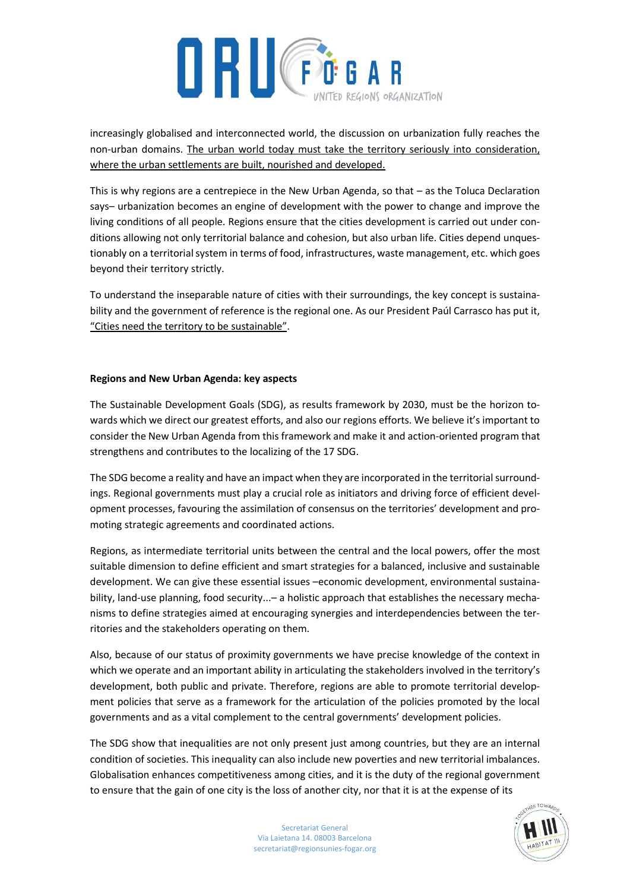

increasingly globalised and interconnected world, the discussion on urbanization fully reaches the non-urban domains. The urban world today must take the territory seriously into consideration, where the urban settlements are built, nourished and developed.

This is why regions are a centrepiece in the New Urban Agenda, so that – as the Toluca Declaration says– urbanization becomes an engine of development with the power to change and improve the living conditions of all people. Regions ensure that the cities development is carried out under conditions allowing not only territorial balance and cohesion, but also urban life. Cities depend unquestionably on a territorial system in terms of food, infrastructures, waste management, etc. which goes beyond their territory strictly.

To understand the inseparable nature of cities with their surroundings, the key concept is sustainability and the government of reference is the regional one. As our President Paúl Carrasco has put it, "Cities need the territory to be sustainable".

### **Regions and New Urban Agenda: key aspects**

The Sustainable Development Goals (SDG), as results framework by 2030, must be the horizon towards which we direct our greatest efforts, and also our regions efforts. We believe it's important to consider the New Urban Agenda from this framework and make it and action-oriented program that strengthens and contributes to the localizing of the 17 SDG.

The SDG become a reality and have an impact when they are incorporated in the territorial surroundings. Regional governments must play a crucial role as initiators and driving force of efficient development processes, favouring the assimilation of consensus on the territories' development and promoting strategic agreements and coordinated actions.

Regions, as intermediate territorial units between the central and the local powers, offer the most suitable dimension to define efficient and smart strategies for a balanced, inclusive and sustainable development. We can give these essential issues –economic development, environmental sustainability, land-use planning, food security...– a holistic approach that establishes the necessary mechanisms to define strategies aimed at encouraging synergies and interdependencies between the territories and the stakeholders operating on them.

Also, because of our status of proximity governments we have precise knowledge of the context in which we operate and an important ability in articulating the stakeholders involved in the territory's development, both public and private. Therefore, regions are able to promote territorial development policies that serve as a framework for the articulation of the policies promoted by the local governments and as a vital complement to the central governments' development policies.

The SDG show that inequalities are not only present just among countries, but they are an internal condition of societies. This inequality can also include new poverties and new territorial imbalances. Globalisation enhances competitiveness among cities, and it is the duty of the regional government to ensure that the gain of one city is the loss of another city, nor that it is at the expense of its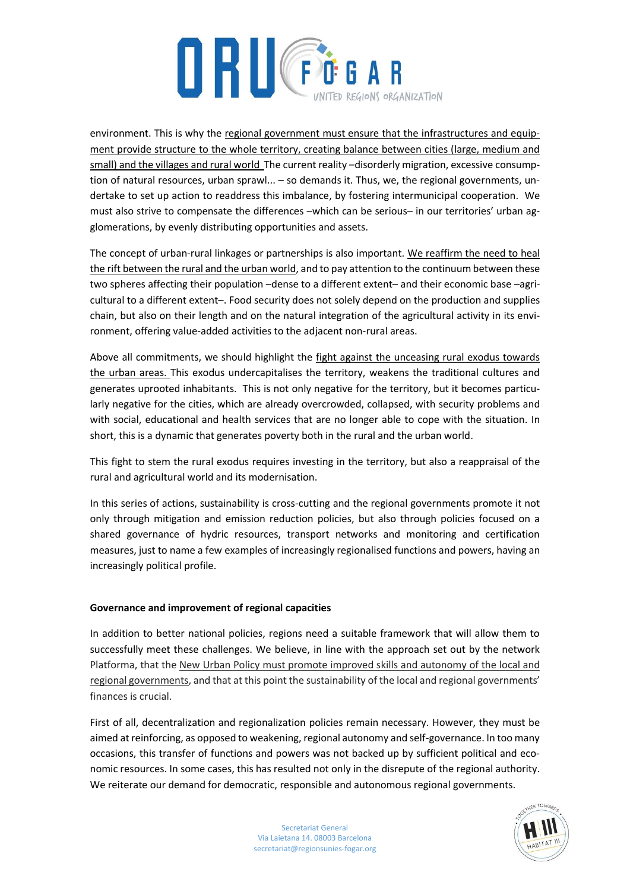

environment. This is why the regional government must ensure that the infrastructures and equipment provide structure to the whole territory, creating balance between cities (large, medium and small) and the villages and rural world The current reality –disorderly migration, excessive consumption of natural resources, urban sprawl... – so demands it. Thus, we, the regional governments, undertake to set up action to readdress this imbalance, by fostering intermunicipal cooperation. We must also strive to compensate the differences –which can be serious– in our territories' urban agglomerations, by evenly distributing opportunities and assets.

The concept of urban-rural linkages or partnerships is also important. We reaffirm the need to heal the rift between the rural and the urban world, and to pay attention to the continuum between these two spheres affecting their population –dense to a different extent– and their economic base –agricultural to a different extent–. Food security does not solely depend on the production and supplies chain, but also on their length and on the natural integration of the agricultural activity in its environment, offering value-added activities to the adjacent non-rural areas.

Above all commitments, we should highlight the fight against the unceasing rural exodus towards the urban areas. This exodus undercapitalises the territory, weakens the traditional cultures and generates uprooted inhabitants. This is not only negative for the territory, but it becomes particularly negative for the cities, which are already overcrowded, collapsed, with security problems and with social, educational and health services that are no longer able to cope with the situation. In short, this is a dynamic that generates poverty both in the rural and the urban world.

This fight to stem the rural exodus requires investing in the territory, but also a reappraisal of the rural and agricultural world and its modernisation.

In this series of actions, sustainability is cross-cutting and the regional governments promote it not only through mitigation and emission reduction policies, but also through policies focused on a shared governance of hydric resources, transport networks and monitoring and certification measures, just to name a few examples of increasingly regionalised functions and powers, having an increasingly political profile.

### **Governance and improvement of regional capacities**

In addition to better national policies, regions need a suitable framework that will allow them to successfully meet these challenges. We believe, in line with the approach set out by the network Platforma, that the New Urban Policy must promote improved skills and autonomy of the local and regional governments, and that at this point the sustainability of the local and regional governments' finances is crucial.

First of all, decentralization and regionalization policies remain necessary. However, they must be aimed at reinforcing, as opposed to weakening, regional autonomy and self-governance. In too many occasions, this transfer of functions and powers was not backed up by sufficient political and economic resources. In some cases, this has resulted not only in the disrepute of the regional authority. We reiterate our demand for democratic, responsible and autonomous regional governments.